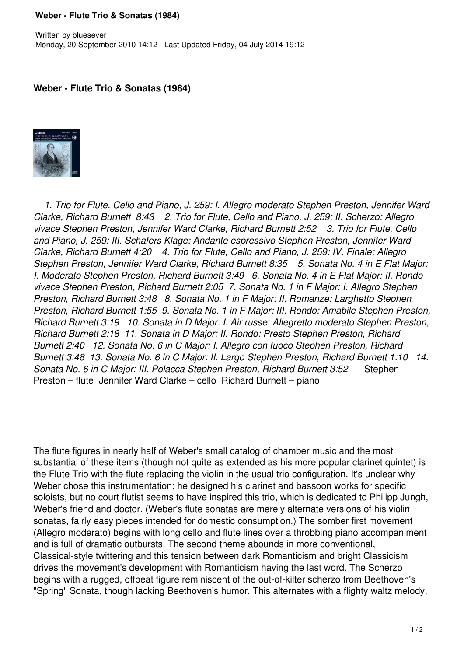## **Weber - Flute Trio & Sonatas (1984)**

## **Weber - Flute Trio & Sonatas (1984)**



 *1. Trio for Flute, Cello and Piano, J. 259: I. Allegro moderato Stephen Preston, Jennifer Ward Clarke, Richard Burnett 8:43 2. Trio for Flute, Cello and Piano, J. 259: II. Scherzo: Allegro vivace Stephen Preston, Jennifer Ward Clarke, Richard Burnett 2:52 3. Trio for Flute, Cello and Piano, J. 259: III. Schafers Klage: Andante espressivo Stephen Preston, Jennifer Ward Clarke, Richard Burnett 4:20 4. Trio for Flute, Cello and Piano, J. 259: IV. Finale: Allegro Stephen Preston, Jennifer Ward Clarke, Richard Burnett 8:35 5. Sonata No. 4 in E Flat Major: I. Moderato Stephen Preston, Richard Burnett 3:49 6. Sonata No. 4 in E Flat Major: II. Rondo vivace Stephen Preston, Richard Burnett 2:05 7. Sonata No. 1 in F Major: I. Allegro Stephen Preston, Richard Burnett 3:48 8. Sonata No. 1 in F Major: II. Romanze: Larghetto Stephen Preston, Richard Burnett 1:55 9. Sonata No. 1 in F Major: III. Rondo: Amabile Stephen Preston, Richard Burnett 3:19 10. Sonata in D Major: I. Air russe: Allegretto moderato Stephen Preston, Richard Burnett 2:18 11. Sonata in D Major: II. Rondo: Presto Stephen Preston, Richard Burnett 2:40 12. Sonata No. 6 in C Major: I. Allegro con fuoco Stephen Preston, Richard Burnett 3:48 13. Sonata No. 6 in C Major: II. Largo Stephen Preston, Richard Burnett 1:10 14. Sonata No. 6 in C Major: III. Polacca Stephen Preston, Richard Burnett 3:52* Stephen Preston – flute Jennifer Ward Clarke – cello Richard Burnett – piano

The flute figures in nearly half of Weber's small catalog of chamber music and the most substantial of these items (though not quite as extended as his more popular clarinet quintet) is the Flute Trio with the flute replacing the violin in the usual trio configuration. It's unclear why Weber chose this instrumentation; he designed his clarinet and bassoon works for specific soloists, but no court flutist seems to have inspired this trio, which is dedicated to Philipp Jungh, Weber's friend and doctor. (Weber's flute sonatas are merely alternate versions of his violin sonatas, fairly easy pieces intended for domestic consumption.) The somber first movement (Allegro moderato) begins with long cello and flute lines over a throbbing piano accompaniment and is full of dramatic outbursts. The second theme abounds in more conventional, Classical-style twittering and this tension between dark Romanticism and bright Classicism drives the movement's development with Romanticism having the last word. The Scherzo begins with a rugged, offbeat figure reminiscent of the out-of-kilter scherzo from Beethoven's "Spring" Sonata, though lacking Beethoven's humor. This alternates with a flighty waltz melody,